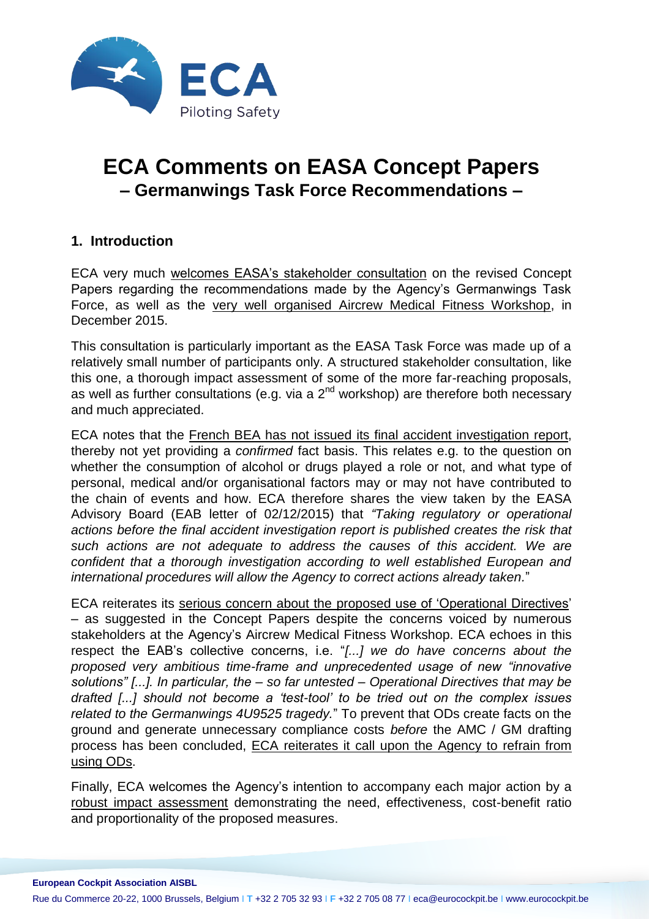

# **ECA Comments on EASA Concept Papers – Germanwings Task Force Recommendations –**

# **1. Introduction**

ECA very much welcomes EASA's stakeholder consultation on the revised Concept Papers regarding the recommendations made by the Agency's Germanwings Task Force, as well as the very well organised Aircrew Medical Fitness Workshop, in December 2015.

This consultation is particularly important as the EASA Task Force was made up of a relatively small number of participants only. A structured stakeholder consultation, like this one, a thorough impact assessment of some of the more far-reaching proposals, as well as further consultations (e.g. via a  $2^{nd}$  workshop) are therefore both necessary and much appreciated.

ECA notes that the French BEA has not issued its final accident investigation report, thereby not yet providing a *confirmed* fact basis. This relates e.g. to the question on whether the consumption of alcohol or drugs played a role or not, and what type of personal, medical and/or organisational factors may or may not have contributed to the chain of events and how. ECA therefore shares the view taken by the EASA Advisory Board (EAB letter of 02/12/2015) that *"Taking regulatory or operational actions before the final accident investigation report is published creates the risk that such actions are not adequate to address the causes of this accident. We are confident that a thorough investigation according to well established European and international procedures will allow the Agency to correct actions already taken.*"

ECA reiterates its serious concern about the proposed use of 'Operational Directives' – as suggested in the Concept Papers despite the concerns voiced by numerous stakeholders at the Agency's Aircrew Medical Fitness Workshop. ECA echoes in this respect the EAB's collective concerns, i.e. "*[...] we do have concerns about the proposed very ambitious time-frame and unprecedented usage of new "innovative solutions" [...]. In particular, the – so far untested – Operational Directives that may be drafted [...] should not become a 'test-tool' to be tried out on the complex issues related to the Germanwings 4U9525 tragedy.*" To prevent that ODs create facts on the ground and generate unnecessary compliance costs *before* the AMC / GM drafting process has been concluded, ECA reiterates it call upon the Agency to refrain from using ODs.

Finally, ECA welcomes the Agency's intention to accompany each major action by a robust impact assessment demonstrating the need, effectiveness, cost-benefit ratio and proportionality of the proposed measures.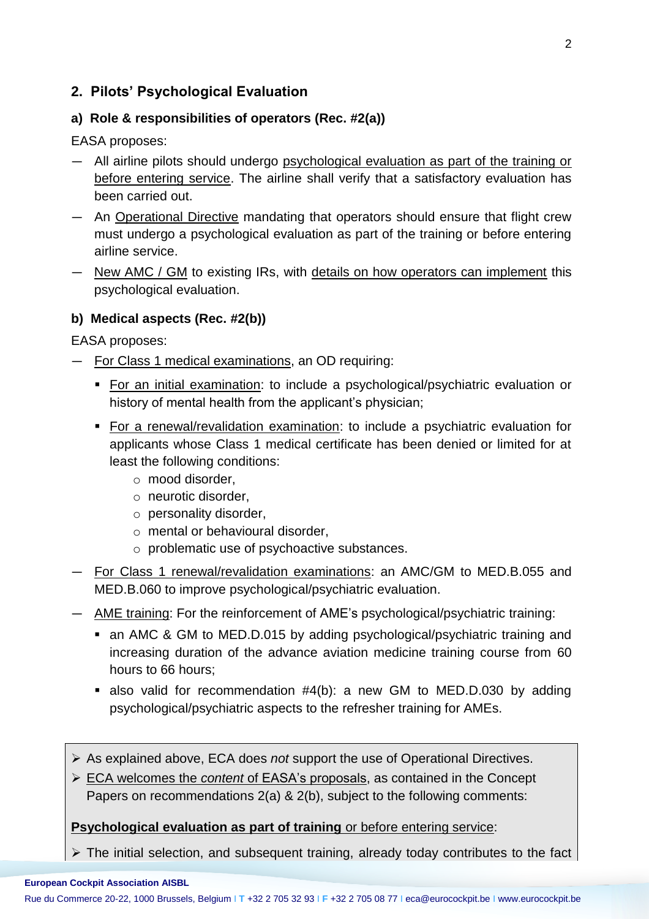# **2. Pilots' Psychological Evaluation**

### **a) Role & responsibilities of operators (Rec. #2(a))**

EASA proposes:

- All airline pilots should undergo psychological evaluation as part of the training or before entering service. The airline shall verify that a satisfactory evaluation has been carried out.
- An Operational Directive mandating that operators should ensure that flight crew must undergo a psychological evaluation as part of the training or before entering airline service.
- New AMC / GM to existing IRs, with details on how operators can implement this psychological evaluation.

#### **b) Medical aspects (Rec. #2(b))**

EASA proposes:

- For Class 1 medical examinations, an OD requiring:
	- **For an initial examination:** to include a psychological/psychiatric evaluation or history of mental health from the applicant's physician;
	- For a renewal/revalidation examination: to include a psychiatric evaluation for applicants whose Class 1 medical certificate has been denied or limited for at least the following conditions:
		- o mood disorder,
		- o neurotic disorder,
		- o personality disorder,
		- o mental or behavioural disorder,
		- o problematic use of psychoactive substances.
- For Class 1 renewal/revalidation examinations: an AMC/GM to MED.B.055 and MED.B.060 to improve psychological/psychiatric evaluation.
- AME training: For the reinforcement of AME's psychological/psychiatric training:
	- an AMC & GM to MED.D.015 by adding psychological/psychiatric training and increasing duration of the advance aviation medicine training course from 60 hours to 66 hours;
	- also valid for recommendation #4(b): a new GM to MED.D.030 by adding psychological/psychiatric aspects to the refresher training for AMEs.
- As explained above, ECA does *not* support the use of Operational Directives.
- ECA welcomes the *content* of EASA's proposals, as contained in the Concept Papers on recommendations 2(a) & 2(b), subject to the following comments:

#### **Psychological evaluation as part of training** or before entering service:

 $\triangleright$  The initial selection, and subsequent training, already today contributes to the fact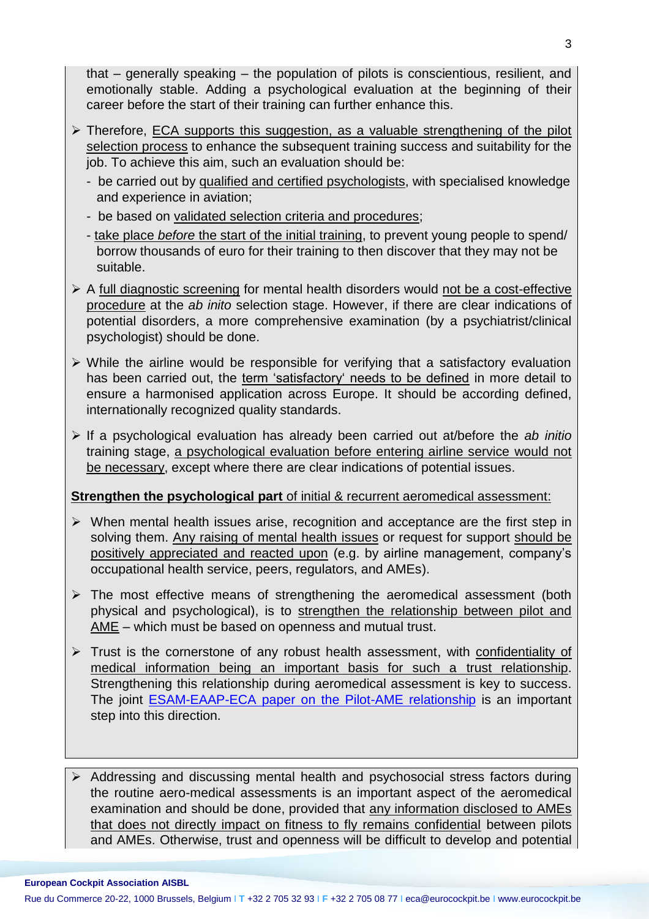that – generally speaking – the population of pilots is conscientious, resilient, and emotionally stable. Adding a psychological evaluation at the beginning of their career before the start of their training can further enhance this.

- $\triangleright$  Therefore, ECA supports this suggestion, as a valuable strengthening of the pilot selection process to enhance the subsequent training success and suitability for the job. To achieve this aim, such an evaluation should be:
	- be carried out by qualified and certified psychologists, with specialised knowledge and experience in aviation;
	- be based on validated selection criteria and procedures;
	- take place *before* the start of the initial training, to prevent young people to spend/ borrow thousands of euro for their training to then discover that they may not be suitable.
- $\triangleright$  A full diagnostic screening for mental health disorders would not be a cost-effective procedure at the *ab inito* selection stage. However, if there are clear indications of potential disorders, a more comprehensive examination (by a psychiatrist/clinical psychologist) should be done.
- $\triangleright$  While the airline would be responsible for verifying that a satisfactory evaluation has been carried out, the term 'satisfactory' needs to be defined in more detail to ensure a harmonised application across Europe. It should be according defined, internationally recognized quality standards.
- If a psychological evaluation has already been carried out at/before the *ab initio* training stage, a psychological evaluation before entering airline service would not be necessary, except where there are clear indications of potential issues.

# **Strengthen the psychological part** of initial & recurrent aeromedical assessment:

- $\triangleright$  When mental health issues arise, recognition and acceptance are the first step in solving them. Any raising of mental health issues or request for support should be positively appreciated and reacted upon (e.g. by airline management, company's occupational health service, peers, regulators, and AMEs).
- $\triangleright$  The most effective means of strengthening the aeromedical assessment (both physical and psychological), is to strengthen the relationship between pilot and AME – which must be based on openness and mutual trust.
- $\triangleright$  Trust is the cornerstone of any robust health assessment, with confidentiality of medical information being an important basis for such a trust relationship. Strengthening this relationship during aeromedical assessment is key to success. The joint [ESAM-EAAP-ECA paper on the Pilot-AME relationship](https://www.eurocockpit.be/sites/default/files/leaflet-ame-final-web.pdf) is an important step into this direction.

Addressing and discussing mental health and psychosocial stress factors during the routine aero-medical assessments is an important aspect of the aeromedical examination and should be done, provided that any information disclosed to AMEs that does not directly impact on fitness to fly remains confidential between pilots and AMEs. Otherwise, trust and openness will be difficult to develop and potential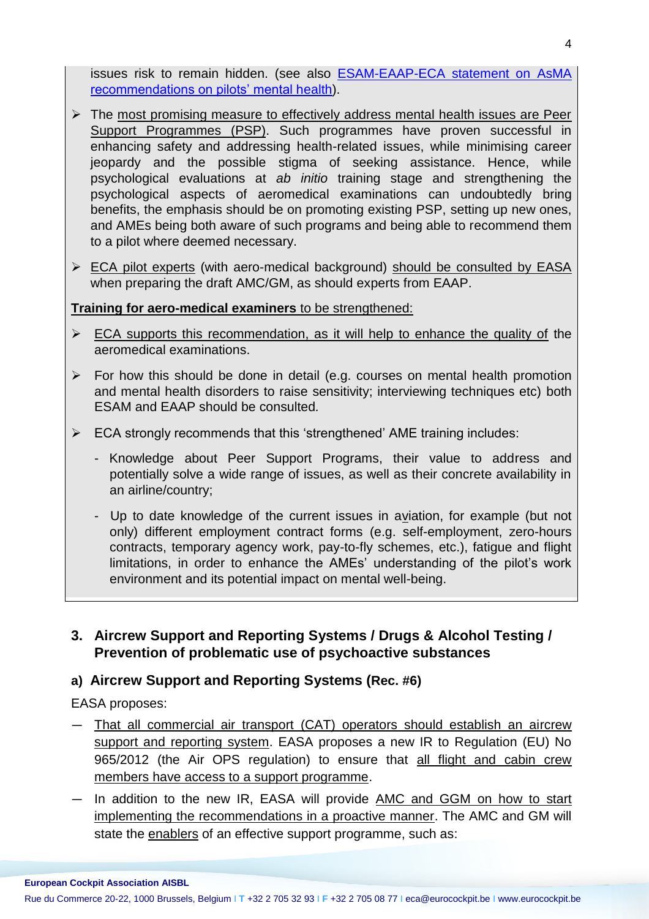issues risk to remain hidden. (see also [ESAM-EAAP-ECA statement on AsMA](https://www.eurocockpit.be/stories/20151130/joint-statement-on-the-aerospace-medical-association-asma-pilot-mental-health-exper)  [recommendations on pilots' mental health\)](https://www.eurocockpit.be/stories/20151130/joint-statement-on-the-aerospace-medical-association-asma-pilot-mental-health-exper).

- $\triangleright$  The most promising measure to effectively address mental health issues are Peer Support Programmes (PSP). Such programmes have proven successful in enhancing safety and addressing health-related issues, while minimising career jeopardy and the possible stigma of seeking assistance. Hence, while psychological evaluations at *ab initio* training stage and strengthening the psychological aspects of aeromedical examinations can undoubtedly bring benefits, the emphasis should be on promoting existing PSP, setting up new ones, and AMEs being both aware of such programs and being able to recommend them to a pilot where deemed necessary.
- ECA pilot experts (with aero-medical background) should be consulted by EASA when preparing the draft AMC/GM, as should experts from EAAP.

#### **Training for aero-medical examiners** to be strengthened:

- $\triangleright$  ECA supports this recommendation, as it will help to enhance the quality of the aeromedical examinations.
- $\triangleright$  For how this should be done in detail (e.g. courses on mental health promotion and mental health disorders to raise sensitivity; interviewing techniques etc) both ESAM and EAAP should be consulted*.*
- $\triangleright$  ECA strongly recommends that this 'strengthened' AME training includes:
	- Knowledge about Peer Support Programs, their value to address and potentially solve a wide range of issues, as well as their concrete availability in an airline/country;
	- Up to date knowledge of the current issues in aviation, for example (but not only) different employment contract forms (e.g. self-employment, zero-hours contracts, temporary agency work, pay-to-fly schemes, etc.), fatigue and flight limitations, in order to enhance the AMEs' understanding of the pilot's work environment and its potential impact on mental well-being.

# **3. Aircrew Support and Reporting Systems / Drugs & Alcohol Testing / Prevention of problematic use of psychoactive substances**

#### **a) Aircrew Support and Reporting Systems (Rec. #6)**

EASA proposes:

- That all commercial air transport (CAT) operators should establish an aircrew support and reporting system. EASA proposes a new IR to Regulation (EU) No 965/2012 (the Air OPS regulation) to ensure that all flight and cabin crew members have access to a support programme.
- In addition to the new IR, EASA will provide **AMC and GGM on how to start** implementing the recommendations in a proactive manner. The AMC and GM will state the enablers of an effective support programme, such as: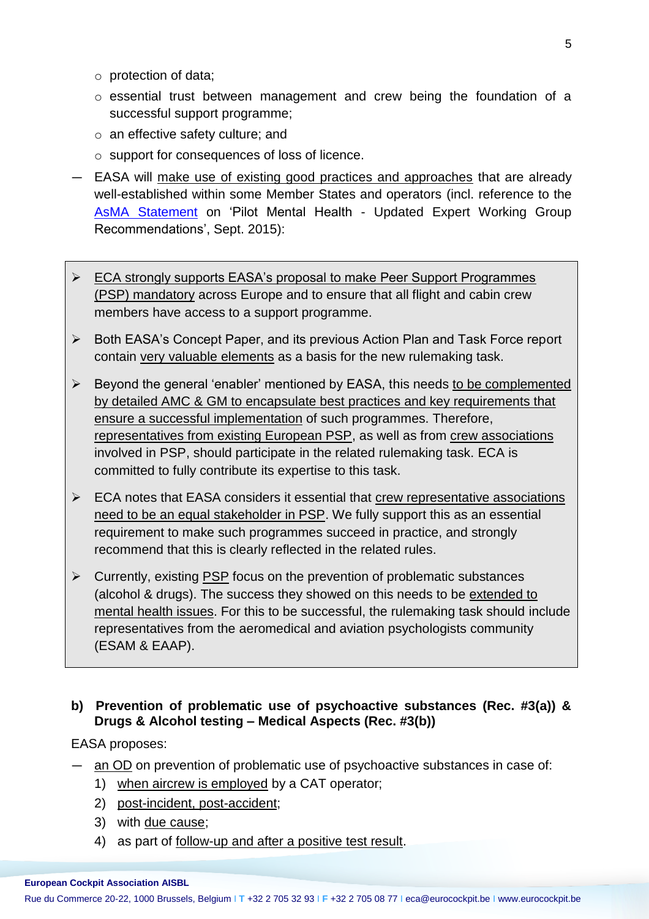- o protection of data;
- o essential trust between management and crew being the foundation of a successful support programme;
- o an effective safety culture; and
- o support for consequences of loss of licence.
- EASA will make use of existing good practices and approaches that are already well-established within some Member States and operators (incl. reference to the [AsMA Statement](https://www.asma.org/asma/media/AsMA/pdf-policy/2015/AsMA-Pilot-Mental-Health-Working-Group-Recommendations-September-2015.pdf) on 'Pilot Mental Health - Updated Expert Working Group Recommendations', Sept. 2015):
- $\triangleright$  ECA strongly supports EASA's proposal to make Peer Support Programmes (PSP) mandatory across Europe and to ensure that all flight and cabin crew members have access to a support programme.
- ▶ Both EASA's Concept Paper, and its previous Action Plan and Task Force report contain very valuable elements as a basis for the new rulemaking task.
- $\triangleright$  Beyond the general 'enabler' mentioned by EASA, this needs to be complemented by detailed AMC & GM to encapsulate best practices and key requirements that ensure a successful implementation of such programmes. Therefore, representatives from existing European PSP, as well as from crew associations involved in PSP, should participate in the related rulemaking task. ECA is committed to fully contribute its expertise to this task.
- $\triangleright$  ECA notes that EASA considers it essential that crew representative associations need to be an equal stakeholder in PSP. We fully support this as an essential requirement to make such programmes succeed in practice, and strongly recommend that this is clearly reflected in the related rules.
- $\triangleright$  Currently, existing PSP focus on the prevention of problematic substances (alcohol & drugs). The success they showed on this needs to be extended to mental health issues. For this to be successful, the rulemaking task should include representatives from the aeromedical and aviation psychologists community (ESAM & EAAP).

#### **b) Prevention of problematic use of psychoactive substances (Rec. #3(a)) & Drugs & Alcohol testing – Medical Aspects (Rec. #3(b))**

#### EASA proposes:

- an OD on prevention of problematic use of psychoactive substances in case of:
	- 1) when aircrew is employed by a CAT operator;
	- 2) post-incident, post-accident;
	- 3) with due cause;
	- 4) as part of follow-up and after a positive test result.

#### **European Cockpit Association AISBL**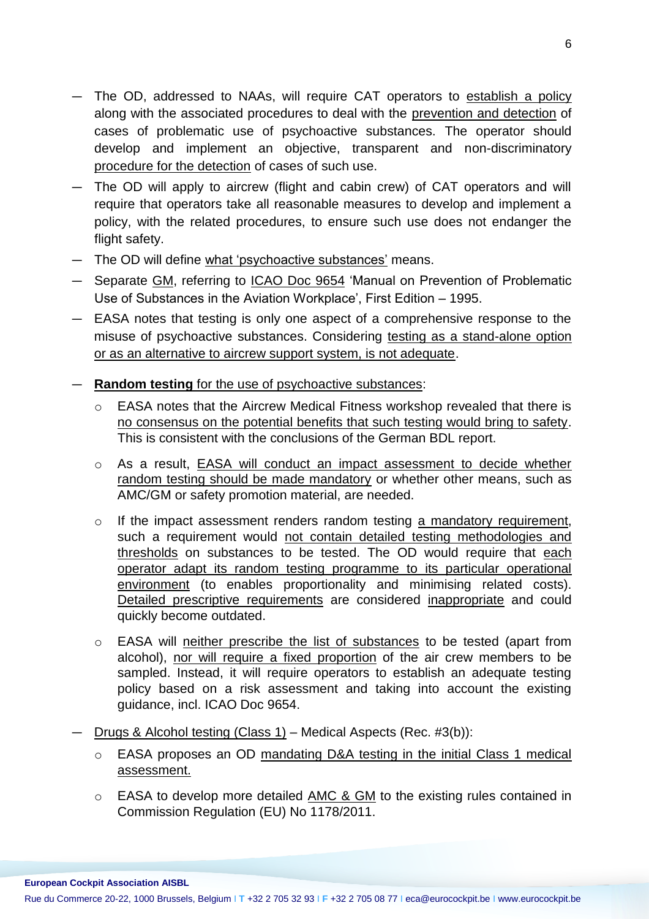- The OD, addressed to NAAs, will require CAT operators to establish a policy along with the associated procedures to deal with the prevention and detection of cases of problematic use of psychoactive substances. The operator should develop and implement an objective, transparent and non-discriminatory procedure for the detection of cases of such use.
- The OD will apply to aircrew (flight and cabin crew) of CAT operators and will require that operators take all reasonable measures to develop and implement a policy, with the related procedures, to ensure such use does not endanger the flight safety.
- The OD will define what 'psychoactive substances' means.
- Separate GM, referring to ICAO Doc 9654 'Manual on Prevention of Problematic Use of Substances in the Aviation Workplace', First Edition – 1995.
- EASA notes that testing is only one aspect of a comprehensive response to the misuse of psychoactive substances. Considering testing as a stand-alone option or as an alternative to aircrew support system, is not adequate.
- **Random testing** for the use of psychoactive substances:
	- o EASA notes that the Aircrew Medical Fitness workshop revealed that there is no consensus on the potential benefits that such testing would bring to safety. This is consistent with the conclusions of the German BDL report.
	- o As a result, EASA will conduct an impact assessment to decide whether random testing should be made mandatory or whether other means, such as AMC/GM or safety promotion material, are needed.
	- o If the impact assessment renders random testing a mandatory requirement, such a requirement would not contain detailed testing methodologies and thresholds on substances to be tested. The OD would require that each operator adapt its random testing programme to its particular operational environment (to enables proportionality and minimising related costs). Detailed prescriptive requirements are considered inappropriate and could quickly become outdated.
	- o EASA will neither prescribe the list of substances to be tested (apart from alcohol), nor will require a fixed proportion of the air crew members to be sampled. Instead, it will require operators to establish an adequate testing policy based on a risk assessment and taking into account the existing guidance, incl. ICAO Doc 9654.
- Drugs & Alcohol testing (Class 1) Medical Aspects (Rec. #3(b)):
	- o EASA proposes an OD mandating D&A testing in the initial Class 1 medical assessment.
	- o EASA to develop more detailed AMC & GM to the existing rules contained in Commission Regulation (EU) No 1178/2011.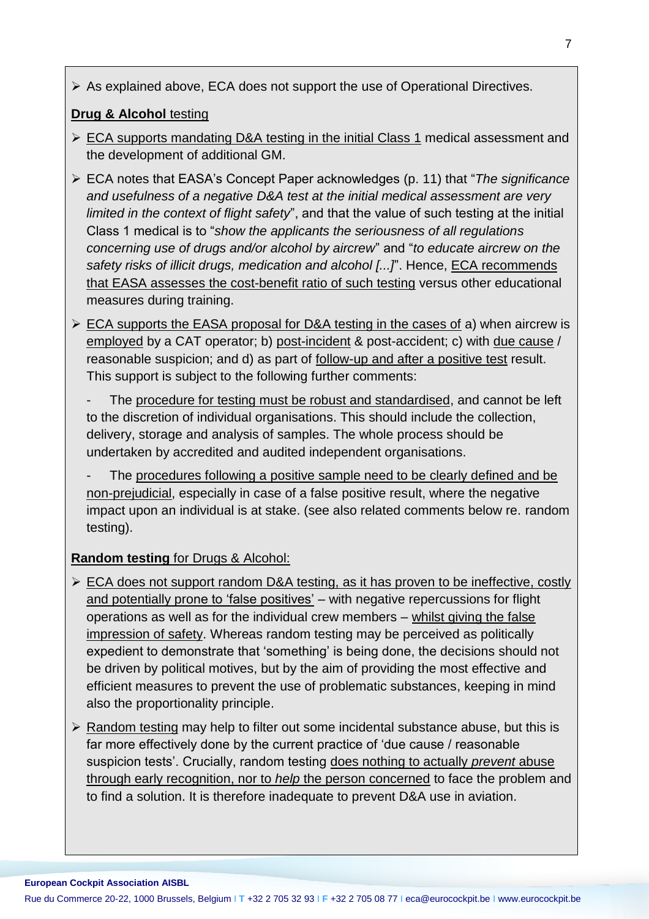As explained above, ECA does not support the use of Operational Directives.

#### **Drug & Alcohol** testing

- ► ECA supports mandating D&A testing in the initial Class 1 medical assessment and the development of additional GM.
- ECA notes that EASA's Concept Paper acknowledges (p. 11) that "*The significance and usefulness of a negative D&A test at the initial medical assessment are very limited in the context of flight safety*", and that the value of such testing at the initial Class 1 medical is to "*show the applicants the seriousness of all regulations concerning use of drugs and/or alcohol by aircrew*" and "*to educate aircrew on the safety risks of illicit drugs, medication and alcohol [...]*". Hence, ECA recommends that EASA assesses the cost-benefit ratio of such testing versus other educational measures during training.
- $\triangleright$  ECA supports the EASA proposal for D&A testing in the cases of a) when aircrew is employed by a CAT operator; b) post-incident & post-accident; c) with due cause / reasonable suspicion; and d) as part of follow-up and after a positive test result. This support is subject to the following further comments:
	- The procedure for testing must be robust and standardised, and cannot be left to the discretion of individual organisations. This should include the collection, delivery, storage and analysis of samples. The whole process should be undertaken by accredited and audited independent organisations.
	- The procedures following a positive sample need to be clearly defined and be non-prejudicial, especially in case of a false positive result, where the negative impact upon an individual is at stake. (see also related comments below re. random testing).

# **Random testing** for Drugs & Alcohol:

- ECA does not support random D&A testing, as it has proven to be ineffective, costly and potentially prone to 'false positives' - with negative repercussions for flight operations as well as for the individual crew members – whilst giving the false impression of safety. Whereas random testing may be perceived as politically expedient to demonstrate that 'something' is being done, the decisions should not be driven by political motives, but by the aim of providing the most effective and efficient measures to prevent the use of problematic substances, keeping in mind also the proportionality principle.
- $\triangleright$  Random testing may help to filter out some incidental substance abuse, but this is far more effectively done by the current practice of 'due cause / reasonable suspicion tests'. Crucially, random testing does nothing to actually *prevent* abuse through early recognition, nor to *help* the person concerned to face the problem and to find a solution. It is therefore inadequate to prevent D&A use in aviation.

#### **European Cockpit Association AISBL**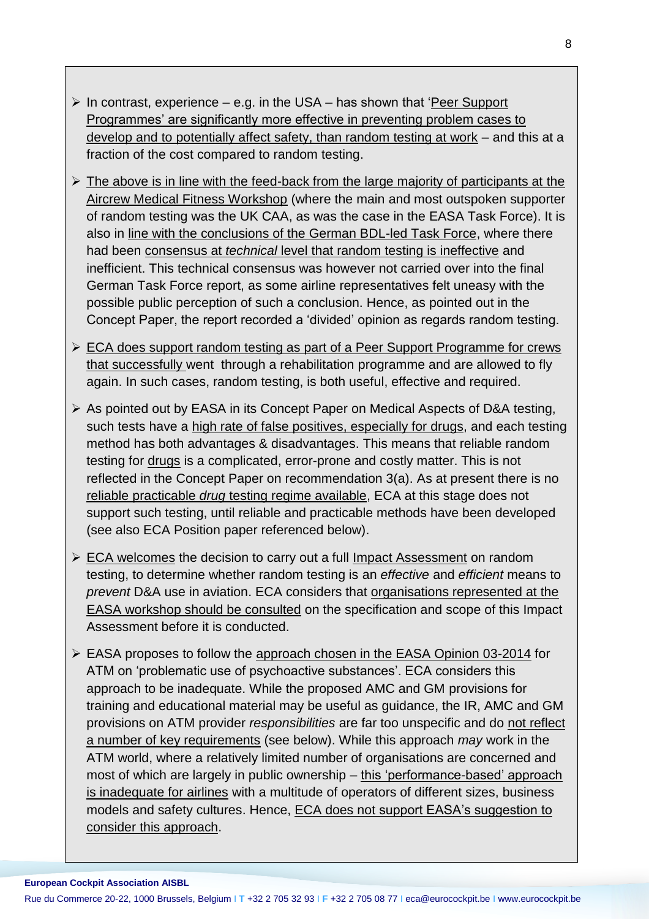- $\triangleright$  In contrast, experience e.g. in the USA has shown that 'Peer Support Programmes' are significantly more effective in preventing problem cases to develop and to potentially affect safety, than random testing at work – and this at a fraction of the cost compared to random testing.
- $\triangleright$  The above is in line with the feed-back from the large majority of participants at the Aircrew Medical Fitness Workshop (where the main and most outspoken supporter of random testing was the UK CAA, as was the case in the EASA Task Force). It is also in line with the conclusions of the German BDL-led Task Force, where there had been consensus at *technical* level that random testing is ineffective and inefficient. This technical consensus was however not carried over into the final German Task Force report, as some airline representatives felt uneasy with the possible public perception of such a conclusion. Hence, as pointed out in the Concept Paper, the report recorded a 'divided' opinion as regards random testing.
- ECA does support random testing as part of a Peer Support Programme for crews that successfully went through a rehabilitation programme and are allowed to fly again. In such cases, random testing, is both useful, effective and required.
- As pointed out by EASA in its Concept Paper on Medical Aspects of D&A testing, such tests have a high rate of false positives, especially for drugs, and each testing method has both advantages & disadvantages. This means that reliable random testing for drugs is a complicated, error-prone and costly matter. This is not reflected in the Concept Paper on recommendation 3(a). As at present there is no reliable practicable *drug* testing regime available, ECA at this stage does not support such testing, until reliable and practicable methods have been developed (see also ECA Position paper referenced below).
- $\triangleright$  ECA welcomes the decision to carry out a full Impact Assessment on random testing, to determine whether random testing is an *effective* and *efficient* means to *prevent* D&A use in aviation. ECA considers that organisations represented at the EASA workshop should be consulted on the specification and scope of this Impact Assessment before it is conducted.
- EASA proposes to follow the approach chosen in the EASA Opinion 03-2014 for ATM on 'problematic use of psychoactive substances'. ECA considers this approach to be inadequate. While the proposed AMC and GM provisions for training and educational material may be useful as guidance, the IR, AMC and GM provisions on ATM provider *responsibilities* are far too unspecific and do not reflect a number of key requirements (see below). While this approach *may* work in the ATM world, where a relatively limited number of organisations are concerned and most of which are largely in public ownership – this 'performance-based' approach is inadequate for airlines with a multitude of operators of different sizes, business models and safety cultures. Hence, ECA does not support EASA's suggestion to consider this approach.